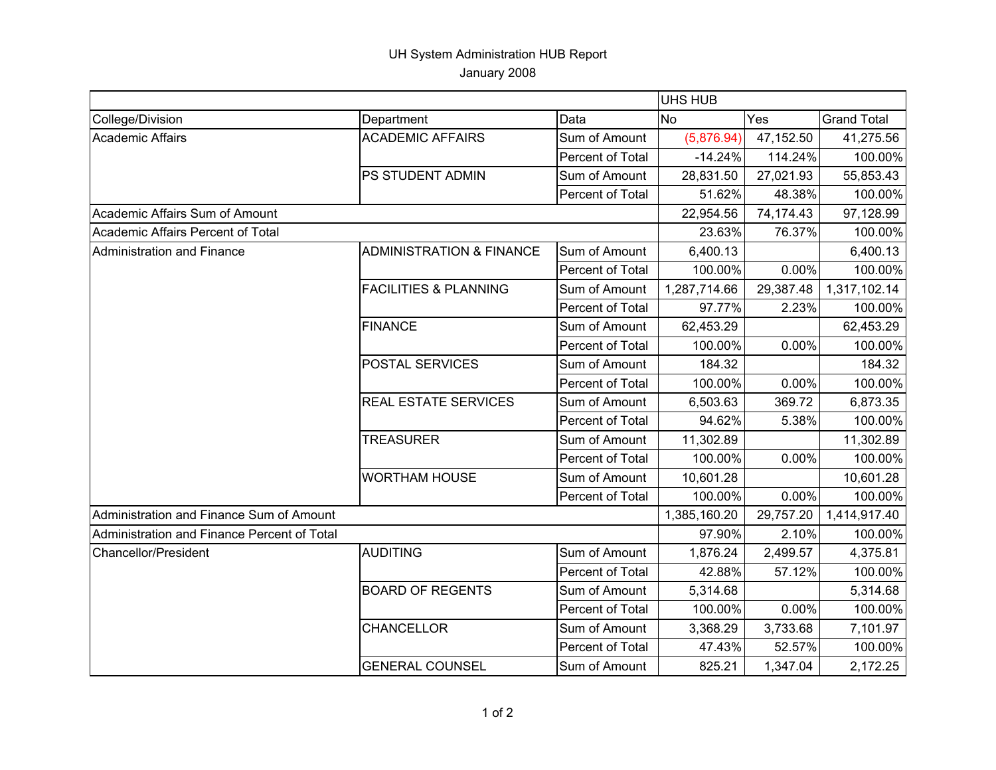## UH System Administration HUB Report January 2008

|                                             |                                     |                  | <b>UHS HUB</b> |           |                    |
|---------------------------------------------|-------------------------------------|------------------|----------------|-----------|--------------------|
| College/Division                            | Department                          | Data             | <b>No</b>      | Yes       | <b>Grand Total</b> |
| Academic Affairs                            | <b>ACADEMIC AFFAIRS</b>             | Sum of Amount    | (5,876.94)     | 47,152.50 | 41,275.56          |
|                                             |                                     | Percent of Total | $-14.24%$      | 114.24%   | 100.00%            |
|                                             | PS STUDENT ADMIN                    | Sum of Amount    | 28,831.50      | 27,021.93 | 55,853.43          |
|                                             |                                     | Percent of Total | 51.62%         | 48.38%    | 100.00%            |
| Academic Affairs Sum of Amount              |                                     |                  | 22,954.56      | 74,174.43 | 97,128.99          |
| Academic Affairs Percent of Total           |                                     |                  | 23.63%         | 76.37%    | 100.00%            |
| Administration and Finance                  | <b>ADMINISTRATION &amp; FINANCE</b> | Sum of Amount    | 6,400.13       |           | 6,400.13           |
|                                             |                                     | Percent of Total | 100.00%        | 0.00%     | 100.00%            |
|                                             | <b>FACILITIES &amp; PLANNING</b>    | Sum of Amount    | 1,287,714.66   | 29,387.48 | 1,317,102.14       |
|                                             |                                     | Percent of Total | 97.77%         | 2.23%     | 100.00%            |
|                                             | <b>FINANCE</b>                      | Sum of Amount    | 62,453.29      |           | 62,453.29          |
|                                             |                                     | Percent of Total | 100.00%        | 0.00%     | 100.00%            |
|                                             | POSTAL SERVICES                     | Sum of Amount    | 184.32         |           | 184.32             |
|                                             |                                     | Percent of Total | 100.00%        | 0.00%     | 100.00%            |
|                                             | <b>REAL ESTATE SERVICES</b>         | Sum of Amount    | 6,503.63       | 369.72    | 6,873.35           |
|                                             |                                     | Percent of Total | 94.62%         | 5.38%     | 100.00%            |
|                                             | <b>TREASURER</b>                    | Sum of Amount    | 11,302.89      |           | 11,302.89          |
|                                             |                                     | Percent of Total | 100.00%        | 0.00%     | 100.00%            |
|                                             | <b>WORTHAM HOUSE</b>                | Sum of Amount    | 10,601.28      |           | 10,601.28          |
|                                             |                                     | Percent of Total | 100.00%        | $0.00\%$  | 100.00%            |
| Administration and Finance Sum of Amount    |                                     |                  | 1,385,160.20   | 29,757.20 | 1,414,917.40       |
| Administration and Finance Percent of Total |                                     |                  | 97.90%         | 2.10%     | 100.00%            |
| <b>Chancellor/President</b>                 | <b>AUDITING</b>                     | Sum of Amount    | 1,876.24       | 2,499.57  | 4,375.81           |
|                                             |                                     | Percent of Total | 42.88%         | 57.12%    | 100.00%            |
|                                             | <b>BOARD OF REGENTS</b>             | Sum of Amount    | 5,314.68       |           | 5,314.68           |
|                                             |                                     | Percent of Total | 100.00%        | 0.00%     | 100.00%            |
|                                             | <b>CHANCELLOR</b>                   | Sum of Amount    | 3,368.29       | 3,733.68  | 7,101.97           |
|                                             |                                     | Percent of Total | 47.43%         | 52.57%    | 100.00%            |
|                                             | <b>GENERAL COUNSEL</b>              | Sum of Amount    | 825.21         | 1,347.04  | 2,172.25           |